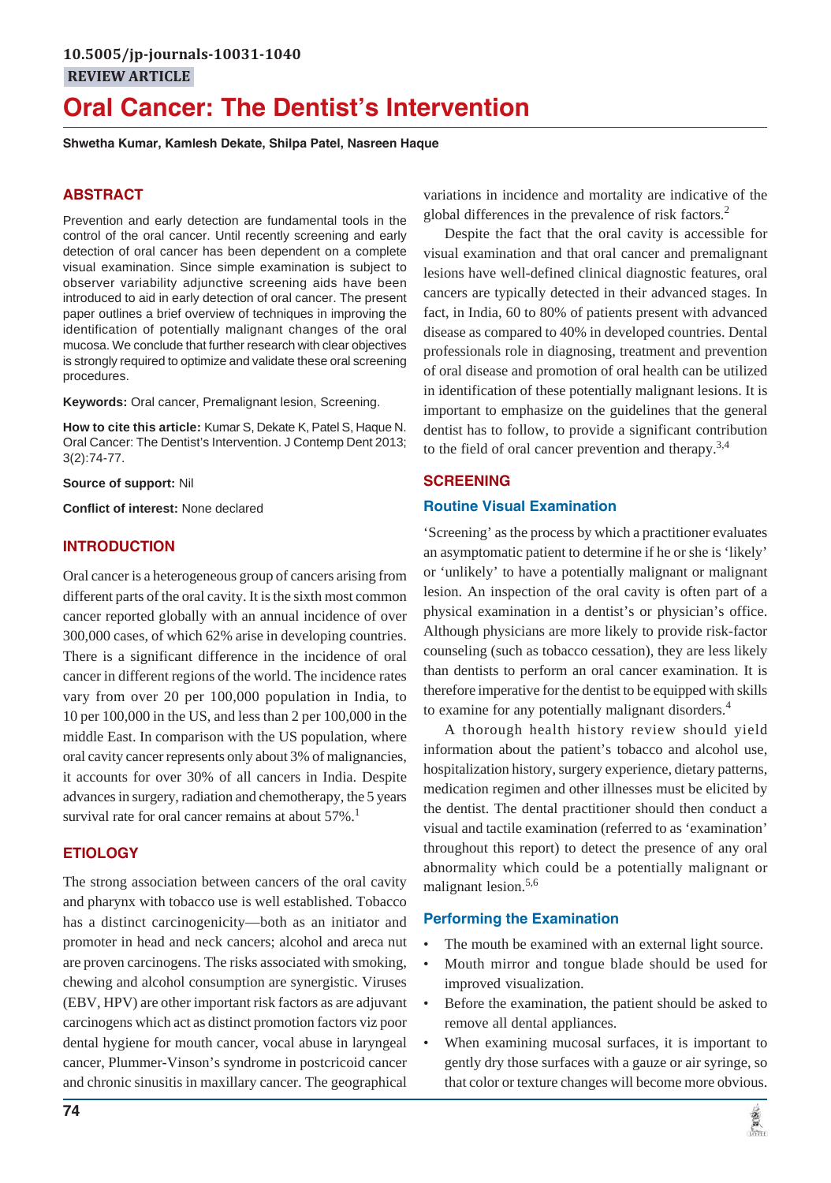# **Oral Cancer: The Dentist's Intervention**

**Shwetha Kumar, Kamlesh Dekate, Shilpa Patel, Nasreen Haque**

### **ABSTRACT**

Prevention and early detection are fundamental tools in the control of the oral cancer. Until recently screening and early detection of oral cancer has been dependent on a complete visual examination. Since simple examination is subject to observer variability adjunctive screening aids have been introduced to aid in early detection of oral cancer. The present paper outlines a brief overview of techniques in improving the identification of potentially malignant changes of the oral mucosa. We conclude that further research with clear objectives is strongly required to optimize and validate these oral screening procedures.

**Keywords:** Oral cancer, Premalignant lesion, Screening.

**How to cite this article:** Kumar S, Dekate K, Patel S, Haque N. Oral Cancer: The Dentist's Intervention. J Contemp Dent 2013; 3(2):74-77.

**Source of support:** Nil

**Conflict of interest:** None declared

### **INTRODUCTION**

Oral cancer is a heterogeneous group of cancers arising from different parts of the oral cavity. It is the sixth most common cancer reported globally with an annual incidence of over 300,000 cases, of which 62% arise in developing countries. There is a significant difference in the incidence of oral cancer in different regions of the world. The incidence rates vary from over 20 per 100,000 population in India, to 10 per 100,000 in the US, and less than 2 per 100,000 in the middle East. In comparison with the US population, where oral cavity cancer represents only about 3% of malignancies, it accounts for over 30% of all cancers in India. Despite advances in surgery, radiation and chemotherapy, the 5 years survival rate for oral cancer remains at about  $57\%$ .<sup>1</sup>

#### **ETIOLOGY**

The strong association between cancers of the oral cavity and pharynx with tobacco use is well established. Tobacco has a distinct carcinogenicity—both as an initiator and promoter in head and neck cancers; alcohol and areca nut are proven carcinogens. The risks associated with smoking, chewing and alcohol consumption are synergistic. Viruses (EBV, HPV) are other important risk factors as are adjuvant carcinogens which act as distinct promotion factors viz poor dental hygiene for mouth cancer, vocal abuse in laryngeal cancer, Plummer-Vinson's syndrome in postcricoid cancer and chronic sinusitis in maxillary cancer. The geographical

variations in incidence and mortality are indicative of the global differences in the prevalence of risk factors.<sup>2</sup>

Despite the fact that the oral cavity is accessible for visual examination and that oral cancer and premalignant lesions have well-defined clinical diagnostic features, oral cancers are typically detected in their advanced stages. In fact, in India, 60 to 80% of patients present with advanced disease as compared to 40% in developed countries. Dental professionals role in diagnosing, treatment and prevention of oral disease and promotion of oral health can be utilized in identification of these potentially malignant lesions. It is important to emphasize on the guidelines that the general dentist has to follow, to provide a significant contribution to the field of oral cancer prevention and therapy.3,4

#### **SCREENING**

#### **Routine Visual Examination**

'Screening' as the process by which a practitioner evaluates an asymptomatic patient to determine if he or she is 'likely' or 'unlikely' to have a potentially malignant or malignant lesion. An inspection of the oral cavity is often part of a physical examination in a dentist's or physician's office. Although physicians are more likely to provide risk-factor counseling (such as tobacco cessation), they are less likely than dentists to perform an oral cancer examination. It is therefore imperative for the dentist to be equipped with skills to examine for any potentially malignant disorders.<sup>4</sup>

A thorough health history review should yield information about the patient's tobacco and alcohol use, hospitalization history, surgery experience, dietary patterns, medication regimen and other illnesses must be elicited by the dentist. The dental practitioner should then conduct a visual and tactile examination (referred to as 'examination' throughout this report) to detect the presence of any oral abnormality which could be a potentially malignant or malignant lesion.<sup>5,6</sup>

#### **Performing the Examination**

- The mouth be examined with an external light source.
- Mouth mirror and tongue blade should be used for improved visualization.
- Before the examination, the patient should be asked to remove all dental appliances.
- When examining mucosal surfaces, it is important to gently dry those surfaces with a gauze or air syringe, so that color or texture changes will become more obvious.

黨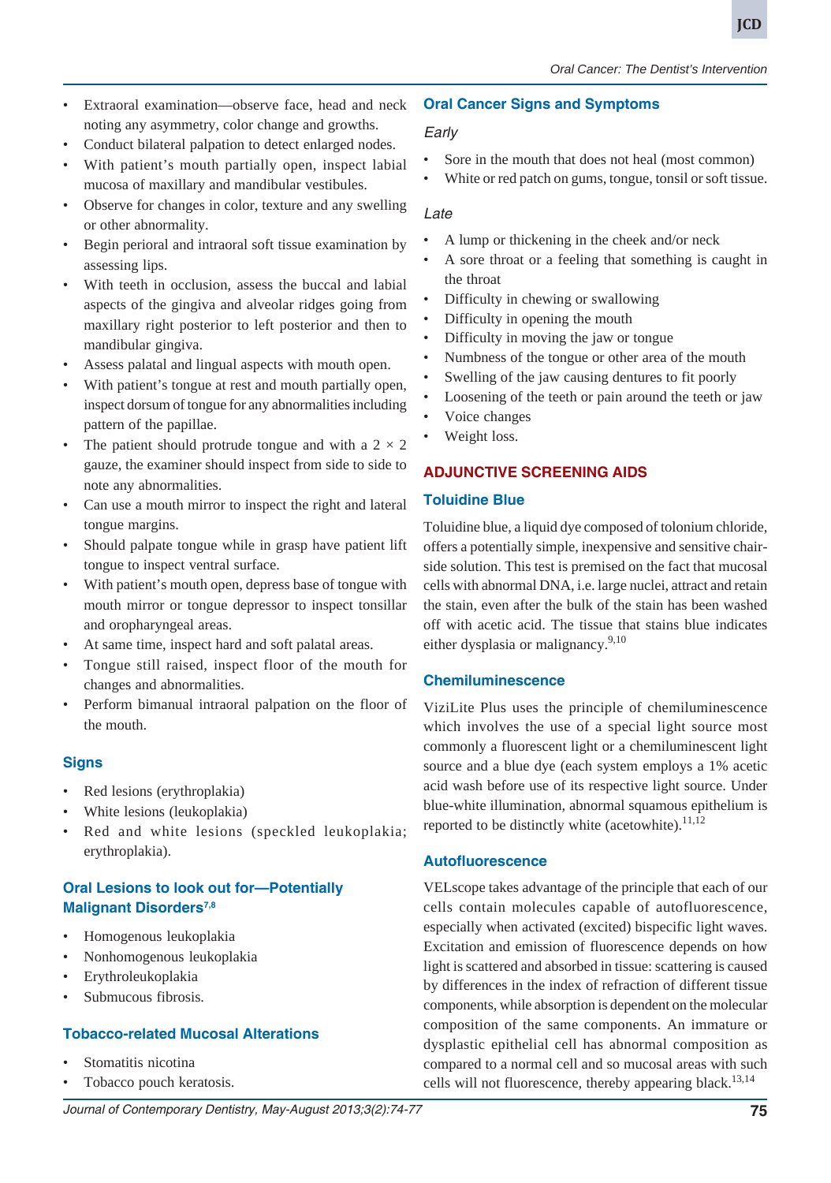**JCD**

- Extraoral examination—observe face, head and neck noting any asymmetry, color change and growths.
- Conduct bilateral palpation to detect enlarged nodes.
- With patient's mouth partially open, inspect labial mucosa of maxillary and mandibular vestibules.
- Observe for changes in color, texture and any swelling or other abnormality.
- Begin perioral and intraoral soft tissue examination by assessing lips.
- With teeth in occlusion, assess the buccal and labial aspects of the gingiva and alveolar ridges going from maxillary right posterior to left posterior and then to mandibular gingiva.
- Assess palatal and lingual aspects with mouth open.
- With patient's tongue at rest and mouth partially open, inspect dorsum of tongue for any abnormalities including pattern of the papillae.
- The patient should protrude tongue and with a  $2 \times 2$ gauze, the examiner should inspect from side to side to note any abnormalities.
- Can use a mouth mirror to inspect the right and lateral tongue margins.
- Should palpate tongue while in grasp have patient lift tongue to inspect ventral surface.
- With patient's mouth open, depress base of tongue with mouth mirror or tongue depressor to inspect tonsillar and oropharyngeal areas.
- At same time, inspect hard and soft palatal areas.
- Tongue still raised, inspect floor of the mouth for changes and abnormalities.
- Perform bimanual intraoral palpation on the floor of the mouth.

# **Signs**

- Red lesions (erythroplakia)
- White lesions (leukoplakia)
- Red and white lesions (speckled leukoplakia; erythroplakia).

### **Oral Lesions to look out for—Potentially Malignant Disorders7,8**

- Homogenous leukoplakia
- Nonhomogenous leukoplakia
- Erythroleukoplakia
- Submucous fibrosis.

### **Tobacco-related Mucosal Alterations**

- Stomatitis nicotina
- Tobacco pouch keratosis.

### **Oral Cancer Signs and Symptoms**

### *Early*

- Sore in the mouth that does not heal (most common)
- White or red patch on gums, tongue, tonsil or soft tissue.

### *Late*

- A lump or thickening in the cheek and/or neck
- A sore throat or a feeling that something is caught in the throat
- Difficulty in chewing or swallowing
- Difficulty in opening the mouth
- Difficulty in moving the jaw or tongue
- Numbness of the tongue or other area of the mouth
- Swelling of the jaw causing dentures to fit poorly
- Loosening of the teeth or pain around the teeth or jaw
- Voice changes
- Weight loss.

# **ADJUNCTIVE SCREENING AIDS**

### **Toluidine Blue**

Toluidine blue, a liquid dye composed of tolonium chloride, offers a potentially simple, inexpensive and sensitive chairside solution. This test is premised on the fact that mucosal cells with abnormal DNA, i.e. large nuclei, attract and retain the stain, even after the bulk of the stain has been washed off with acetic acid. The tissue that stains blue indicates either dysplasia or malignancy. $9,10$ 

### **Chemiluminescence**

ViziLite Plus uses the principle of chemiluminescence which involves the use of a special light source most commonly a fluorescent light or a chemiluminescent light source and a blue dye (each system employs a 1% acetic acid wash before use of its respective light source. Under blue-white illumination, abnormal squamous epithelium is reported to be distinctly white (acetowhite). $11,12$ 

### **Autofluorescence**

VELscope takes advantage of the principle that each of our cells contain molecules capable of autofluorescence, especially when activated (excited) bispecific light waves. Excitation and emission of fluorescence depends on how light is scattered and absorbed in tissue: scattering is caused by differences in the index of refraction of different tissue components, while absorption is dependent on the molecular composition of the same components. An immature or dysplastic epithelial cell has abnormal composition as compared to a normal cell and so mucosal areas with such cells will not fluorescence, thereby appearing black.<sup>13,14</sup>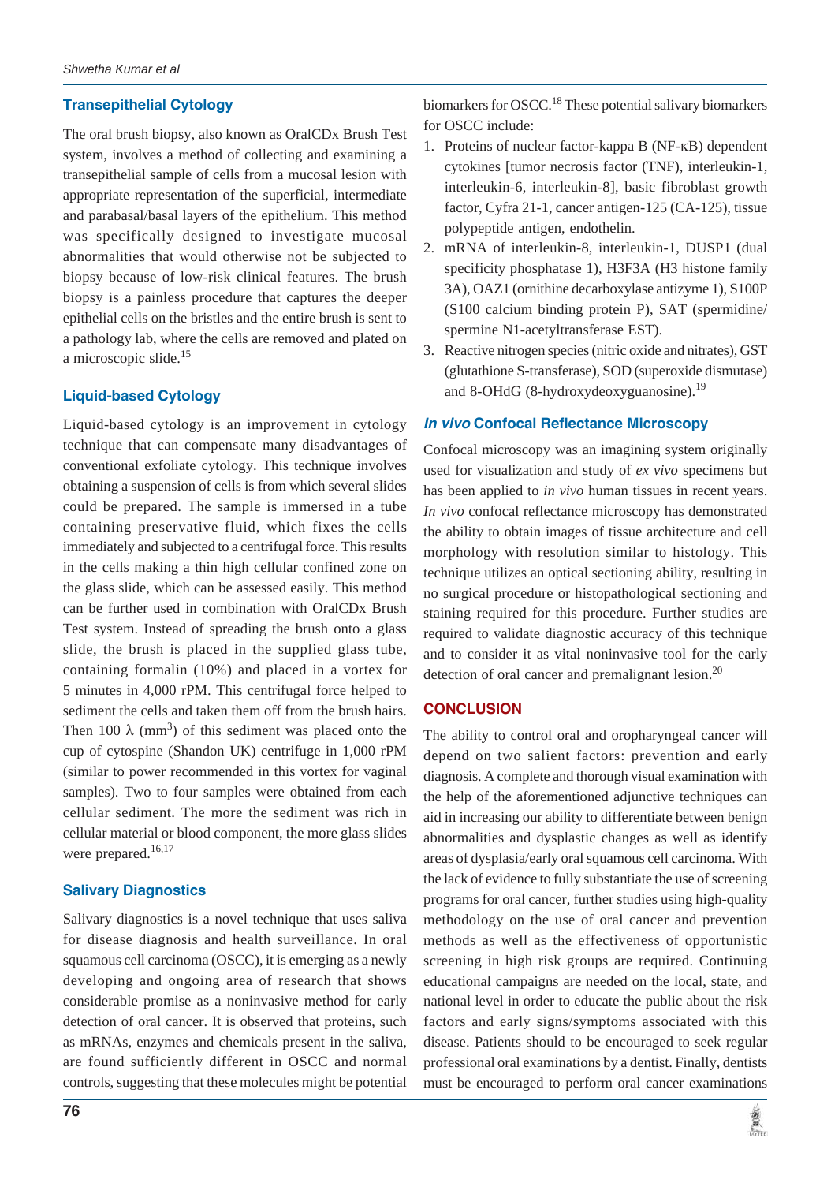#### **Transepithelial Cytology**

The oral brush biopsy, also known as OralCDx Brush Test system, involves a method of collecting and examining a transepithelial sample of cells from a mucosal lesion with appropriate representation of the superficial, intermediate and parabasal/basal layers of the epithelium. This method was specifically designed to investigate mucosal abnormalities that would otherwise not be subjected to biopsy because of low-risk clinical features. The brush biopsy is a painless procedure that captures the deeper epithelial cells on the bristles and the entire brush is sent to a pathology lab, where the cells are removed and plated on a microscopic slide.<sup>15</sup>

#### **Liquid-based Cytology**

Liquid-based cytology is an improvement in cytology technique that can compensate many disadvantages of conventional exfoliate cytology. This technique involves obtaining a suspension of cells is from which several slides could be prepared. The sample is immersed in a tube containing preservative fluid, which fixes the cells immediately and subjected to a centrifugal force. This results in the cells making a thin high cellular confined zone on the glass slide, which can be assessed easily. This method can be further used in combination with OralCDx Brush Test system. Instead of spreading the brush onto a glass slide, the brush is placed in the supplied glass tube, containing formalin (10%) and placed in a vortex for 5 minutes in 4,000 rPM. This centrifugal force helped to sediment the cells and taken them off from the brush hairs. Then 100  $\lambda$  (mm<sup>3</sup>) of this sediment was placed onto the cup of cytospine (Shandon UK) centrifuge in 1,000 rPM (similar to power recommended in this vortex for vaginal samples). Two to four samples were obtained from each cellular sediment. The more the sediment was rich in cellular material or blood component, the more glass slides were prepared.<sup>16,17</sup>

#### **Salivary Diagnostics**

Salivary diagnostics is a novel technique that uses saliva for disease diagnosis and health surveillance. In oral squamous cell carcinoma (OSCC), it is emerging as a newly developing and ongoing area of research that shows considerable promise as a noninvasive method for early detection of oral cancer. It is observed that proteins, such as mRNAs, enzymes and chemicals present in the saliva, are found sufficiently different in OSCC and normal controls, suggesting that these molecules might be potential

biomarkers for OSCC.<sup>18</sup> These potential salivary biomarkers for OSCC include:

- 1. Proteins of nuclear factor-kappa B (NF-κB) dependent cytokines [tumor necrosis factor (TNF), interleukin-1, interleukin-6, interleukin-8], basic fibroblast growth factor, Cyfra 21-1, cancer antigen-125 (CA-125), tissue polypeptide antigen, endothelin.
- 2. mRNA of interleukin-8, interleukin-1, DUSP1 (dual specificity phosphatase 1), H3F3A (H3 histone family 3A), OAZ1 (ornithine decarboxylase antizyme 1), S100P (S100 calcium binding protein P), SAT (spermidine/ spermine N1-acetyltransferase EST).
- 3. Reactive nitrogen species (nitric oxide and nitrates), GST (glutathione S-transferase), SOD (superoxide dismutase) and 8-OHdG (8-hydroxydeoxyguanosine).<sup>19</sup>

#### *In vivo* **Confocal Reflectance Microscopy**

Confocal microscopy was an imagining system originally used for visualization and study of *ex vivo* specimens but has been applied to *in vivo* human tissues in recent years. *In vivo* confocal reflectance microscopy has demonstrated the ability to obtain images of tissue architecture and cell morphology with resolution similar to histology. This technique utilizes an optical sectioning ability, resulting in no surgical procedure or histopathological sectioning and staining required for this procedure. Further studies are required to validate diagnostic accuracy of this technique and to consider it as vital noninvasive tool for the early detection of oral cancer and premalignant lesion. $^{20}$ 

#### **CONCLUSION**

The ability to control oral and oropharyngeal cancer will depend on two salient factors: prevention and early diagnosis. A complete and thorough visual examination with the help of the aforementioned adjunctive techniques can aid in increasing our ability to differentiate between benign abnormalities and dysplastic changes as well as identify areas of dysplasia/early oral squamous cell carcinoma. With the lack of evidence to fully substantiate the use of screening programs for oral cancer, further studies using high-quality methodology on the use of oral cancer and prevention methods as well as the effectiveness of opportunistic screening in high risk groups are required. Continuing educational campaigns are needed on the local, state, and national level in order to educate the public about the risk factors and early signs/symptoms associated with this disease. Patients should to be encouraged to seek regular professional oral examinations by a dentist. Finally, dentists must be encouraged to perform oral cancer examinations